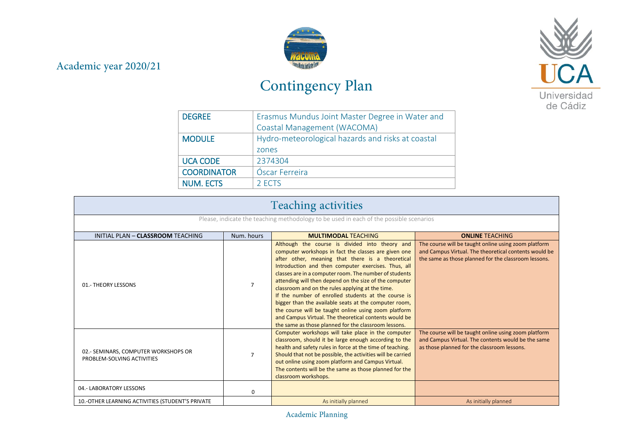## Academic year 2020/21



## Contingency Plan



| <b>DEGREE</b>      | Erasmus Mundus Joint Master Degree in Water and   |
|--------------------|---------------------------------------------------|
|                    | Coastal Management (WACOMA)                       |
| <b>MODULE</b>      | Hydro-meteorological hazards and risks at coastal |
|                    | zones                                             |
| <b>UCA CODE</b>    | 2374304                                           |
| <b>COORDINATOR</b> | Óscar Ferreira                                    |
| <b>NUM. ECTS</b>   | 2 ECTS                                            |

| <b>Teaching activities</b>                                                             |                |                                                                                                                                                                                                                                                                                                                                                                                                                                                                                                                                                                                                                                                                                    |                                                                                                                                                                       |
|----------------------------------------------------------------------------------------|----------------|------------------------------------------------------------------------------------------------------------------------------------------------------------------------------------------------------------------------------------------------------------------------------------------------------------------------------------------------------------------------------------------------------------------------------------------------------------------------------------------------------------------------------------------------------------------------------------------------------------------------------------------------------------------------------------|-----------------------------------------------------------------------------------------------------------------------------------------------------------------------|
| Please, indicate the teaching methodology to be used in each of the possible scenarios |                |                                                                                                                                                                                                                                                                                                                                                                                                                                                                                                                                                                                                                                                                                    |                                                                                                                                                                       |
| INITIAL PLAN - CLASSROOM TEACHING                                                      | Num. hours     | <b>MULTIMODAL TEACHING</b>                                                                                                                                                                                                                                                                                                                                                                                                                                                                                                                                                                                                                                                         | <b>ONLINE TEACHING</b>                                                                                                                                                |
| 01.- THEORY LESSONS                                                                    | $\overline{7}$ | Although the course is divided into theory and<br>computer workshops in fact the classes are given one<br>after other, meaning that there is a theoretical<br>Introduction and then computer exercises. Thus, all<br>classes are in a computer room. The number of students<br>attending will then depend on the size of the computer<br>classroom and on the rules applying at the time.<br>If the number of enrolled students at the course is<br>bigger than the available seats at the computer room,<br>the course will be taught online using zoom platform<br>and Campus Virtual. The theoretical contents would be<br>the same as those planned for the classroom lessons. | The course will be taught online using zoom platform<br>and Campus Virtual. The theoretical contents would be<br>the same as those planned for the classroom lessons. |
| 02.- SEMINARS, COMPUTER WORKSHOPS OR<br>PROBLEM-SOLVING ACTIVITIES                     | $\overline{7}$ | Computer workshops will take place in the computer<br>classroom, should it be large enough according to the<br>health and safety rules in force at the time of teaching.<br>Should that not be possible, the activities will be carried<br>out online using zoom platform and Campus Virtual.<br>The contents will be the same as those planned for the<br>classroom workshops.                                                                                                                                                                                                                                                                                                    | The course will be taught online using zoom platform<br>and Campus Virtual. The contents would be the same<br>as those planned for the classroom lessons.             |
| 04.- LABORATORY LESSONS                                                                | $\Omega$       |                                                                                                                                                                                                                                                                                                                                                                                                                                                                                                                                                                                                                                                                                    |                                                                                                                                                                       |
| 10.-OTHER LEARNING ACTIVITIES (STUDENT'S PRIVATE                                       |                | As initially planned                                                                                                                                                                                                                                                                                                                                                                                                                                                                                                                                                                                                                                                               | As initially planned                                                                                                                                                  |

Academic Planning